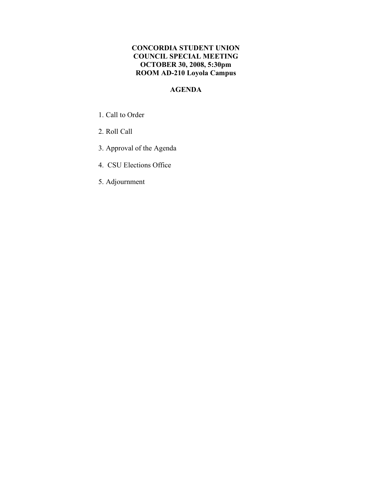## **CONCORDIA STUDENT UNION COUNCIL SPECIAL MEETING OCTOBER 30, 2008, 5:30pm ROOM AD-210 Loyola Campus**

# **AGENDA**

- 1. Call to Order
- 2. Roll Call
- 3. Approval of the Agenda
- 4. CSU Elections Office
- 5. Adjournment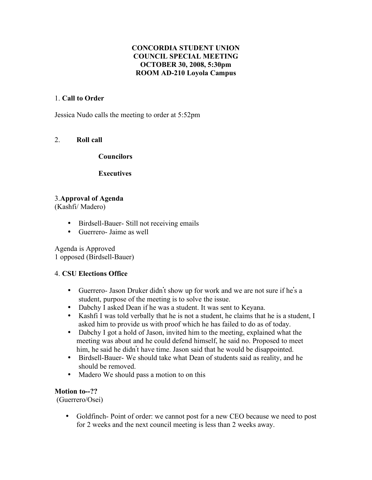## **CONCORDIA STUDENT UNION COUNCIL SPECIAL MEETING OCTOBER 30, 2008, 5:30pm ROOM AD-210 Loyola Campus**

## 1. **Call to Order**

Jessica Nudo calls the meeting to order at 5:52pm

## 2. **Roll call**

#### **Councilors**

**Executives**

## 3.**Approval of Agenda**

(Kashfi/ Madero)

- Birdsell-Bauer- Still not receiving emails
- Guerrero- Jaime as well

Agenda is Approved 1 opposed (Birdsell-Bauer)

### 4. **CSU Elections Office**

- Guerrero- Jason Druker didn't show up for work and we are not sure if he's a student, purpose of the meeting is to solve the issue.
- Dabchy I asked Dean if he was a student. It was sent to Keyana.
- Kashfi I was told verbally that he is not a student, he claims that he is a student, I asked him to provide us with proof which he has failed to do as of today.
- Dabchy I got a hold of Jason, invited him to the meeting, explained what the meeting was about and he could defend himself, he said no. Proposed to meet him, he said he didn't have time. Jason said that he would be disappointed.
- Birdsell-Bauer- We should take what Dean of students said as reality, and he should be removed.
- Madero We should pass a motion to on this

### **Motion to--??**

(Guerrero/Osei)

• Goldfinch- Point of order: we cannot post for a new CEO because we need to post for 2 weeks and the next council meeting is less than 2 weeks away.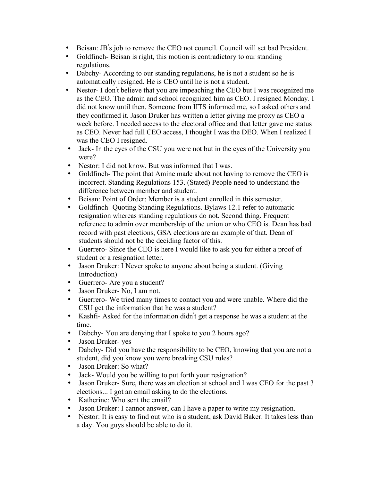- Beisan: JB's job to remove the CEO not council. Council will set bad President.
- Goldfinch- Beisan is right, this motion is contradictory to our standing regulations.
- Dabchy-According to our standing regulations, he is not a student so he is automatically resigned. He is CEO until he is not a student.
- Nestor- I don't believe that you are impeaching the CEO but I was recognized me as the CEO. The admin and school recognized him as CEO. I resigned Monday. I did not know until then. Someone from IITS informed me, so I asked others and they confirmed it. Jason Druker has written a letter giving me proxy as CEO a week before. I needed access to the electoral office and that letter gave me status as CEO. Never had full CEO access, I thought I was the DEO. When I realized I was the CEO I resigned.
- Jack- In the eyes of the CSU you were not but in the eyes of the University you were?
- Nestor: I did not know. But was informed that I was.<br>• Goldfinch-The point that Amine made about not have
- Goldfinch- The point that Amine made about not having to remove the CEO is incorrect. Standing Regulations 153. (Stated) People need to understand the difference between member and student.
- Beisan: Point of Order: Member is a student enrolled in this semester.
- Goldfinch- Quoting Standing Regulations. Bylaws 12.1 refer to automatic resignation whereas standing regulations do not. Second thing. Frequent reference to admin over membership of the union or who CEO is. Dean has bad record with past elections, GSA elections are an example of that. Dean of students should not be the deciding factor of this.
- Guerrero- Since the CEO is here I would like to ask you for either a proof of student or a resignation letter.
- Jason Druker: I Never spoke to anyone about being a student. (Giving Introduction)
- Guerrero- Are you a student?
- Jason Druker- No, I am not.
- Guerrero- We tried many times to contact you and were unable. Where did the CSU get the information that he was a student?
- Kashfi- Asked for the information didn't get a response he was a student at the time.
- Dabchy-You are denying that I spoke to you 2 hours ago?
- Jason Druker- yes<br>• Dabchy- Did you b
- Dabchy- Did you have the responsibility to be CEO, knowing that you are not a student, did you know you were breaking CSU rules?
- Jason Druker: So what?
- Jack- Would you be willing to put forth your resignation?
- Jason Druker- Sure, there was an election at school and I was CEO for the past 3 elections... I got an email asking to do the elections.
- Katherine: Who sent the email?
- Jason Druker: I cannot answer, can I have a paper to write my resignation.
- Nestor: It is easy to find out who is a student, ask David Baker. It takes less than a day. You guys should be able to do it.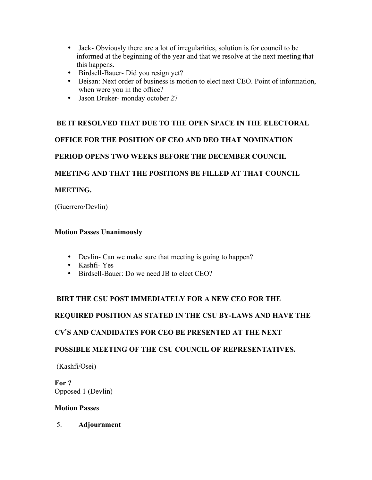- Jack- Obviously there are a lot of irregularities, solution is for council to be informed at the beginning of the year and that we resolve at the next meeting that this happens.
- Birdsell-Bauer- Did you resign yet?
- Beisan: Next order of business is motion to elect next CEO. Point of information, when were you in the office?
- Jason Druker- monday october 27

# **BE IT RESOLVED THAT DUE TO THE OPEN SPACE IN THE ELECTORAL**

**OFFICE FOR THE POSITION OF CEO AND DEO THAT NOMINATION**

**PERIOD OPENS TWO WEEKS BEFORE THE DECEMBER COUNCIL**

**MEETING AND THAT THE POSITIONS BE FILLED AT THAT COUNCIL**

# **MEETING.**

(Guerrero/Devlin)

# **Motion Passes Unanimously**

- Devlin- Can we make sure that meeting is going to happen?
- Kashfi- Yes
- Birdsell-Bauer: Do we need JB to elect CEO?

# **BIRT THE CSU POST IMMEDIATELY FOR A NEW CEO FOR THE**

# **REQUIRED POSITION AS STATED IN THE CSU BY-LAWS AND HAVE THE**

# **CV**'**S AND CANDIDATES FOR CEO BE PRESENTED AT THE NEXT**

# **POSSIBLE MEETING OF THE CSU COUNCIL OF REPRESENTATIVES.**

(Kashfi/Osei)

**For ?** Opposed 1 (Devlin)

# **Motion Passes**

5. **Adjournment**